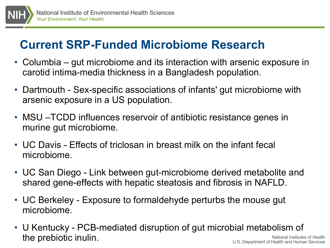

## **Current SRP-Funded Microbiome Research**

- Columbia gut microbiome and its interaction with arsenic exposure in carotid intima-media thickness in a Bangladesh population.
- Dartmouth Sex-specific associations of infants' gut microbiome with arsenic exposure in a US population.
- MSU –TCDD influences reservoir of antibiotic resistance genes in murine gut microbiome.
- UC Davis Effects of triclosan in breast milk on the infant fecal microbiome.
- UC San Diego Link between gut-microbiome derived metabolite and shared gene-effects with hepatic steatosis and fibrosis in NAFLD.
- UC Berkeley Exposure to formaldehyde perturbs the mouse gut microbiome.
- National Institutes of Health U.S. Department of Health and Human Services • U Kentucky - PCB-mediated disruption of gut microbial metabolism of the prebiotic inulin.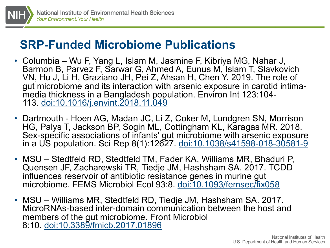

## **SRP-Funded Microbiome Publications**

- Columbia Wu F, Yang L, Islam M, Jasmine F, Kibriya MG, Nahar J, Barmon B, Parvez F, Sarwar G, Ahmed A, Eunus M, Islam T, Slavkovich VN, Hu J, Li H, Graziano JH, Pei Z, Ahsan H, Chen Y. 2019. The role of gut microbiome and its interaction with arsenic exposure in carotid intima-<br>media thickness in a Bangladesh population. Environ Int 123:104-<br>113. [doi:10.1016/j.envint.2018.11.049](http://dx.doi.org/10.1016/j.envint.2018.11.049)
- Dartmouth Hoen AG, Madan JC, Li Z, Coker M, Lundgren SN, Morrison HG, Palys T, Jackson BP, Sogin ML, Cottingham KL, Karagas MR. 2018. Sex-specific associations of infants' gut microbiome with arsenic exposure in a US population. Sci Rep 8(1):12627. [doi:10.1038/s41598-018-30581-9](http://dx.doi.org/10.1038/s41598-018-30581-9)
- MSU Stedtfeld RD, Stedtfeld TM, Fader KA, Williams MR, Bhaduri P, Quensen JF, Zacharewski TR, Tiedje JM, Hashsham SA. 2017. TCDD influences reservoir of antibiotic resistance genes in murine gut microbiome. FEMS Microbiol Ecol 93:8. [doi:10.1093/femsec/fix058](http://dx.doi.org/10.1093/femsec/fix058)
- MSU Williams MR, Stedtfeld RD, Tiedje JM, Hashsham SA. 2017. MicroRNAs-based inter-domain communication between the host and members of the gut microbiome. Front Microbiol 8:10. [doi:10.3389/fmicb.2017.01896](http://dx.doi.org/10.3389/fmicb.2017.01896)